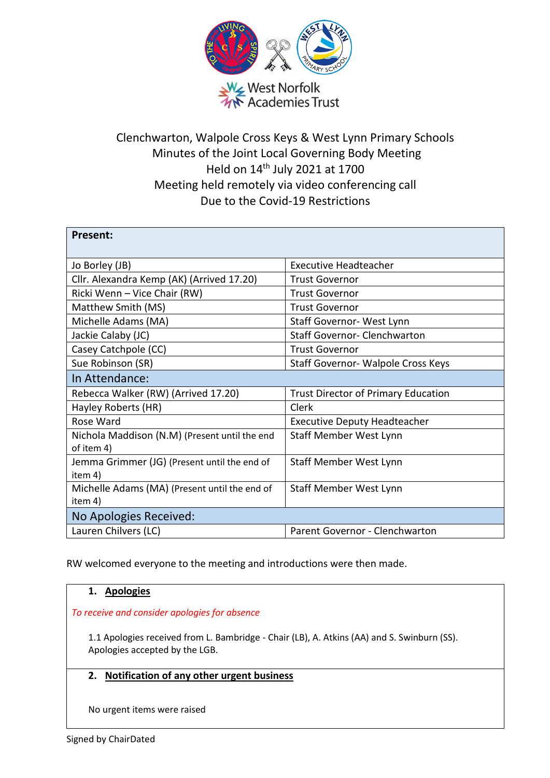

# Clenchwarton, Walpole Cross Keys & West Lynn Primary Schools Minutes of the Joint Local Governing Body Meeting Held on 14th July 2021 at 1700 Meeting held remotely via video conferencing call Due to the Covid-19 Restrictions

| <b>Present:</b>                                             |                                            |
|-------------------------------------------------------------|--------------------------------------------|
| Jo Borley (JB)                                              | <b>Executive Headteacher</b>               |
| Cllr. Alexandra Kemp (AK) (Arrived 17.20)                   | <b>Trust Governor</b>                      |
| Ricki Wenn - Vice Chair (RW)                                | <b>Trust Governor</b>                      |
| Matthew Smith (MS)                                          | <b>Trust Governor</b>                      |
| Michelle Adams (MA)                                         | Staff Governor- West Lynn                  |
| Jackie Calaby (JC)                                          | <b>Staff Governor- Clenchwarton</b>        |
| Casey Catchpole (CC)                                        | <b>Trust Governor</b>                      |
| Sue Robinson (SR)                                           | Staff Governor- Walpole Cross Keys         |
| In Attendance:                                              |                                            |
| Rebecca Walker (RW) (Arrived 17.20)                         | <b>Trust Director of Primary Education</b> |
| Hayley Roberts (HR)                                         | Clerk                                      |
| Rose Ward                                                   | <b>Executive Deputy Headteacher</b>        |
| Nichola Maddison (N.M) (Present until the end<br>of item 4) | Staff Member West Lynn                     |
| Jemma Grimmer (JG) (Present until the end of<br>item 4)     | Staff Member West Lynn                     |
| Michelle Adams (MA) (Present until the end of<br>item 4)    | Staff Member West Lynn                     |
| No Apologies Received:                                      |                                            |
| Lauren Chilvers (LC)                                        | Parent Governor - Clenchwarton             |

RW welcomed everyone to the meeting and introductions were then made.

# **1. Apologies**

### *To receive and consider apologies for absence*

1.1 Apologies received from L. Bambridge - Chair (LB), A. Atkins (AA) and S. Swinburn (SS). Apologies accepted by the LGB.

# **2. Notification of any other urgent business**

No urgent items were raised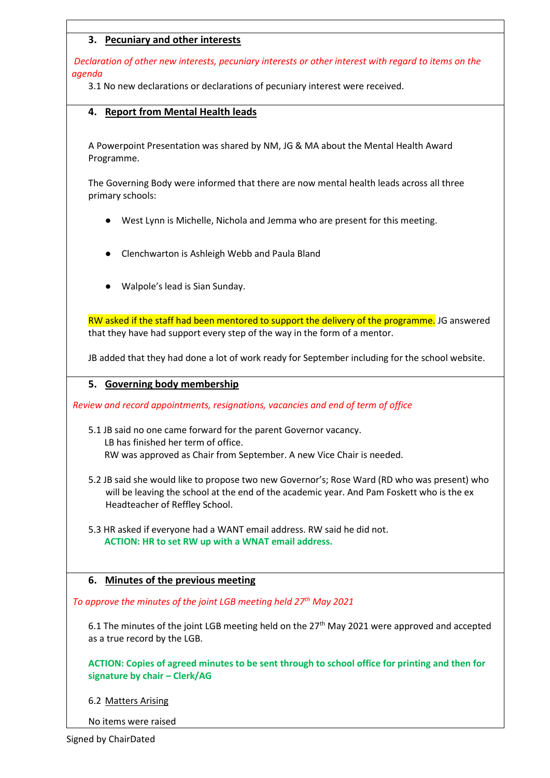# **3. Pecuniary and other interests**

*Declaration of other new interests, pecuniary interests or other interest with regard to items on the agenda*

3.1 No new declarations or declarations of pecuniary interest were received.

### **4. Report from Mental Health leads**

A Powerpoint Presentation was shared by NM, JG & MA about the Mental Health Award Programme.

The Governing Body were informed that there are now mental health leads across all three primary schools:

- West Lynn is Michelle, Nichola and Jemma who are present for this meeting.
- Clenchwarton is Ashleigh Webb and Paula Bland
- Walpole's lead is Sian Sunday.

RW asked if the staff had been mentored to support the delivery of the programme. JG answered that they have had support every step of the way in the form of a mentor.

JB added that they had done a lot of work ready for September including for the school website.

### **5. Governing body membership**

*Review and record appointments, resignations, vacancies and end of term of office*

- 5.1 JB said no one came forward for the parent Governor vacancy. LB has finished her term of office. RW was approved as Chair from September. A new Vice Chair is needed.
- 5.2 JB said she would like to propose two new Governor's; Rose Ward (RD who was present) who will be leaving the school at the end of the academic year. And Pam Foskett who is the ex Headteacher of Reffley School.

5.3 HR asked if everyone had a WANT email address. RW said he did not.  **ACTION: HR to set RW up with a WNAT email address.**

**6. Minutes of the previous meeting**

*To approve the minutes of the joint LGB meeting held 27th May 2021*

6.1 The minutes of the joint LGB meeting held on the 27<sup>th</sup> May 2021 were approved and accepted as a true record by the LGB.

**ACTION: Copies of agreed minutes to be sent through to school office for printing and then for signature by chair – Clerk/AG**

### 6.2 Matters Arising

No items were raised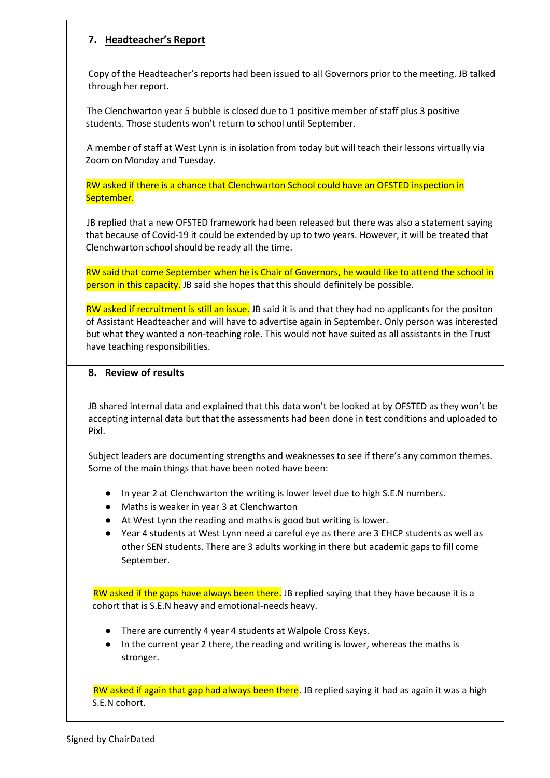# **7. Headteacher's Report**

Copy of the Headteacher's reports had been issued to all Governors prior to the meeting. JB talked through her report.

The Clenchwarton year 5 bubble is closed due to 1 positive member of staff plus 3 positive students. Those students won't return to school until September.

A member of staff at West Lynn is in isolation from today but will teach their lessons virtually via Zoom on Monday and Tuesday.

RW asked if there is a chance that Clenchwarton School could have an OFSTED inspection in September.

JB replied that a new OFSTED framework had been released but there was also a statement saying that because of Covid-19 it could be extended by up to two years. However, it will be treated that Clenchwarton school should be ready all the time.

RW said that come September when he is Chair of Governors, he would like to attend the school in person in this capacity. JB said she hopes that this should definitely be possible.

RW asked if recruitment is still an issue. JB said it is and that they had no applicants for the positon of Assistant Headteacher and will have to advertise again in September. Only person was interested but what they wanted a non-teaching role. This would not have suited as all assistants in the Trust have teaching responsibilities.

#### **8. Review of results**

JB shared internal data and explained that this data won't be looked at by OFSTED as they won't be accepting internal data but that the assessments had been done in test conditions and uploaded to Pixl.

Subject leaders are documenting strengths and weaknesses to see if there's any common themes. Some of the main things that have been noted have been:

- In year 2 at Clenchwarton the writing is lower level due to high S.E.N numbers.
- Maths is weaker in year 3 at Clenchwarton
- At West Lynn the reading and maths is good but writing is lower.
- Year 4 students at West Lynn need a careful eye as there are 3 EHCP students as well as other SEN students. There are 3 adults working in there but academic gaps to fill come September.

RW asked if the gaps have always been there. JB replied saying that they have because it is a cohort that is S.E.N heavy and emotional-needs heavy.

- There are currently 4 year 4 students at Walpole Cross Keys.
- In the current year 2 there, the reading and writing is lower, whereas the maths is stronger.

RW asked if again that gap had always been there. JB replied saying it had as again it was a high S.E.N cohort.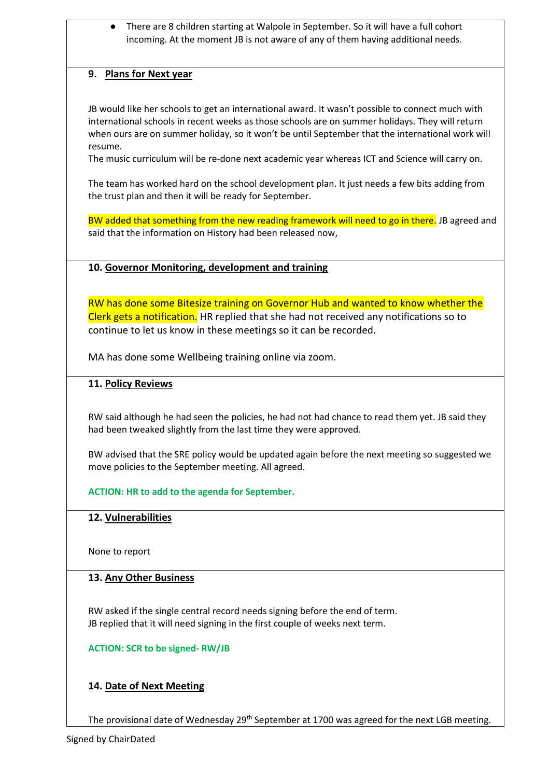● There are 8 children starting at Walpole in September. So it will have a full cohort incoming. At the moment JB is not aware of any of them having additional needs.

## **9. Plans for Next year**

JB would like her schools to get an international award. It wasn't possible to connect much with international schools in recent weeks as those schools are on summer holidays. They will return when ours are on summer holiday, so it won't be until September that the international work will resume.

The music curriculum will be re-done next academic year whereas ICT and Science will carry on.

The team has worked hard on the school development plan. It just needs a few bits adding from the trust plan and then it will be ready for September.

BW added that something from the new reading framework will need to go in there. JB agreed and said that the information on History had been released now,

### **10. Governor Monitoring, development and training**

RW has done some Bitesize training on Governor Hub and wanted to know whether the Clerk gets a notification. HR replied that she had not received any notifications so to continue to let us know in these meetings so it can be recorded.

MA has done some Wellbeing training online via zoom.

### **11. Policy Reviews**

RW said although he had seen the policies, he had not had chance to read them yet. JB said they had been tweaked slightly from the last time they were approved.

BW advised that the SRE policy would be updated again before the next meeting so suggested we move policies to the September meeting. All agreed.

**ACTION: HR to add to the agenda for September.**

### **12. Vulnerabilities**

None to report

### **13. Any Other Business**

RW asked if the single central record needs signing before the end of term. JB replied that it will need signing in the first couple of weeks next term.

**ACTION: SCR to be signed- RW/JB**

# **14. Date of Next Meeting**

The provisional date of Wednesday  $29^{th}$  September at 1700 was agreed for the next LGB meeting.